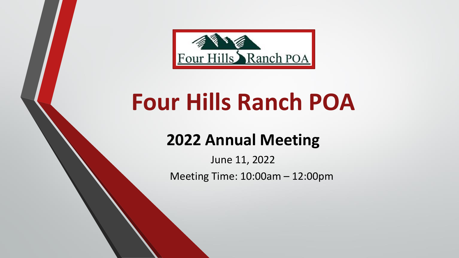

# **Four Hills Ranch POA**

## **2022 Annual Meeting**

June 11, 2022 Meeting Time: 10:00am – 12:00pm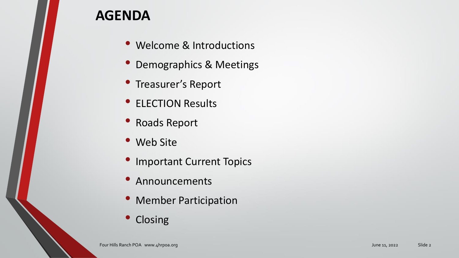## **AGENDA**

- Welcome & Introductions
- Demographics & Meetings
- Treasurer's Report
- ELECTION Results
- Roads Report
- Web Site
- Important Current Topics
- Announcements
- Member Participation
- Closing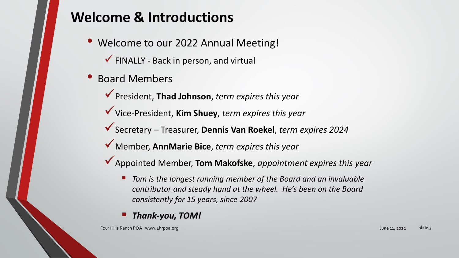## **Welcome & Introductions**

- Welcome to our 2022 Annual Meeting!  $\checkmark$  FINALLY - Back in person, and virtual
- Board Members
	- ✓President, **Thad Johnson**, *term expires this year*
	- ✓Vice-President, **Kim Shuey**, *term expires this year*
	- ✓Secretary Treasurer, **Dennis Van Roekel**, *term expires 2024*
	- ✓Member, **AnnMarie Bice**, *term expires this year*
	- ✓Appointed Member, **Tom Makofske**, *appointment expires this year*
		- Tom is the longest running member of the Board and an invaluable *contributor and steady hand at the wheel. He's been on the Board consistently for 15 years, since 2007*
		- *Thank-you, TOM!*

Four Hills Ranch POA www.4hrpoa.org June 11, 2022 Slide 3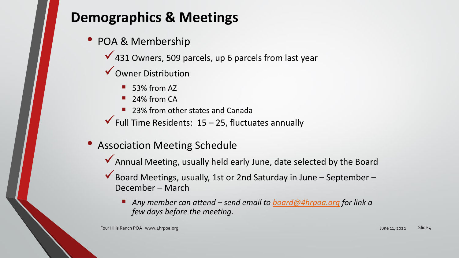## **Demographics & Meetings**

• POA & Membership

◆ 431 Owners, 509 parcels, up 6 parcels from last year

- ✓Owner Distribution
	- 53% from AZ
	- 24% from CA
	- 23% from other states and Canada
- $\checkmark$  Full Time Residents: 15 25, fluctuates annually
- Association Meeting Schedule
	- ◆ Annual Meeting, usually held early June, date selected by the Board
	- $\checkmark$  Board Meetings, usually, 1st or 2nd Saturday in June September December – March
		- *Any member can attend – send email to [board@4hrpoa.org](about:blank) for link a few days before the meeting.*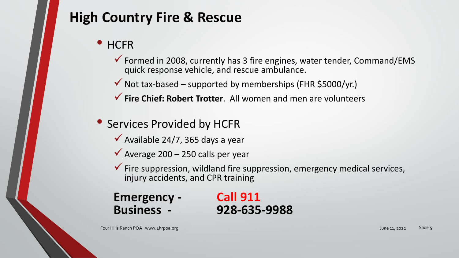## **High Country Fire & Rescue**

## • HCFR

- ✓Formed in 2008, currently has 3 fire engines, water tender, Command/EMS quick response vehicle, and rescue ambulance.
- $\checkmark$  Not tax-based supported by memberships (FHR \$5000/yr.)
- ✓**Fire Chief: Robert Trotter**. All women and men are volunteers
- Services Provided by HCFR
	- $\checkmark$  Available 24/7, 365 days a year
	- $\checkmark$  Average 200 250 calls per year
	- $\checkmark$  Fire suppression, wildland fire suppression, emergency medical services, injury accidents, and CPR training

## **Emergency - Call 911 Business - 928-635-9988**

Four Hills Ranch POA www.4hrpoa.org Slide 5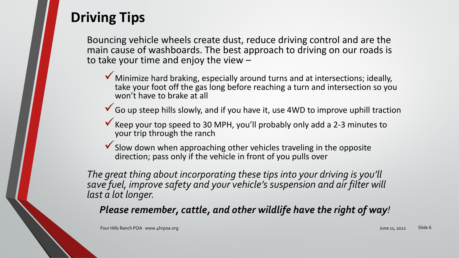## **Driving Tips**

Bouncing vehicle wheels create dust, reduce driving control and are the main cause of washboards. The best approach to driving on our roads is to take your time and enjoy the view –

- ◆ Minimize hard braking, especially around turns and at intersections; ideally, take your foot off the gas long before reaching a turn and intersection so you won't have to brake at all
- $\checkmark$  Go up steep hills slowly, and if you have it, use 4WD to improve uphill traction
- Keep your top speed to 30 MPH, you'll probably only add a 2-3 minutes to your trip through the ranch
- ◆ Slow down when approaching other vehicles traveling in the opposite direction; pass only if the vehicle in front of you pulls over

*The great thing about incorporating these tips into your driving is you'll save fuel, improve safety and your vehicle's suspension and air filter will last a lot longer.*

*Please remember, cattle, and other wildlife have the right of way!*

Four Hills Ranch POA www.4hrpoa.org June 11, 2022 Slide 6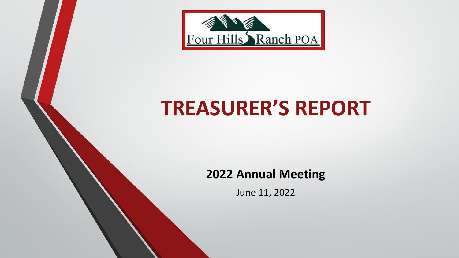

# **TREASURER'S REPORT**

## **2022 Annual Meeting**

June 11, 2022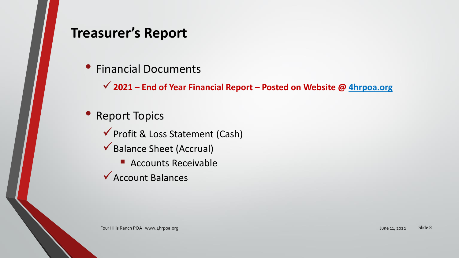## **Treasurer's Report**

• Financial Documents

✓**2021 – End of Year Financial Report – Posted on Website @ 4hrpoa.org**

- Report Topics
	- ✓Profit & Loss Statement (Cash)
	- ✓Balance Sheet (Accrual)
		- Accounts Receivable
	- ✓Account Balances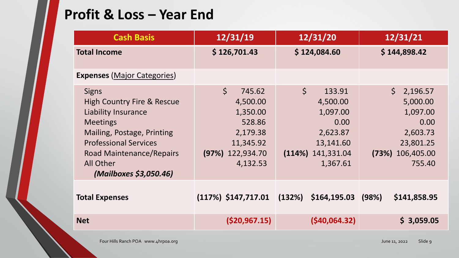## **Profit & Loss – Year End**

| <b>Cash Basis</b>                                                                                                                                                                                                                              | 12/31/19                                                                                                        | 12/31/20                                                                                                       | 12/31/21                                                                                                           |
|------------------------------------------------------------------------------------------------------------------------------------------------------------------------------------------------------------------------------------------------|-----------------------------------------------------------------------------------------------------------------|----------------------------------------------------------------------------------------------------------------|--------------------------------------------------------------------------------------------------------------------|
| <b>Total Income</b>                                                                                                                                                                                                                            | \$126,701.43                                                                                                    | \$124,084.60                                                                                                   | \$144,898.42                                                                                                       |
| <b>Expenses (Major Categories)</b>                                                                                                                                                                                                             |                                                                                                                 |                                                                                                                |                                                                                                                    |
| <b>Signs</b><br><b>High Country Fire &amp; Rescue</b><br><b>Liability Insurance</b><br><b>Meetings</b><br>Mailing, Postage, Printing<br><b>Professional Services</b><br>Road Maintenance/Repairs<br><b>All Other</b><br>(Mailboxes \$3,050.46) | $\zeta$<br>745.62<br>4,500.00<br>1,350.00<br>528.86<br>2,179.38<br>11,345.92<br>122,934.70<br>(97%)<br>4,132.53 | $\zeta$<br>133.91<br>4,500.00<br>1,097.00<br>0.00<br>2,623.87<br>13,141.60<br>(114%)<br>141,331.04<br>1,367.61 | $\mathsf{S}$<br>2,196.57<br>5,000.00<br>1,097.00<br>0.00<br>2,603.73<br>23,801.25<br>106,405.00<br>(73%)<br>755.40 |
| <b>Total Expenses</b>                                                                                                                                                                                                                          | $(117%)$ \$147,717.01                                                                                           | (132%)<br>\$164,195.03                                                                                         | \$141,858.95<br>(98%)                                                                                              |
| <b>Net</b>                                                                                                                                                                                                                                     | ( \$20, 967.15)                                                                                                 | $($ \$40,064.32 $)$                                                                                            | \$3,059.05                                                                                                         |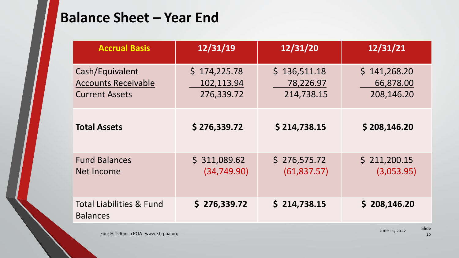## **Balance Sheet – Year End**

| <b>Accrual Basis</b>                                                   | 12/31/19                                 | 12/31/20                                | 12/31/21                                |
|------------------------------------------------------------------------|------------------------------------------|-----------------------------------------|-----------------------------------------|
| Cash/Equivalent<br><b>Accounts Receivable</b><br><b>Current Assets</b> | \$174,225.78<br>102,113.94<br>276,339.72 | \$136,511.18<br>78,226.97<br>214,738.15 | \$141,268.20<br>66,878.00<br>208,146.20 |
| <b>Total Assets</b>                                                    | \$276,339.72                             | \$214,738.15                            | \$208,146.20                            |
| <b>Fund Balances</b><br>Net Income                                     | \$311,089.62<br>(34, 749.90)             | \$276,575.72<br>(61, 837.57)            | \$211,200.15<br>(3,053.95)              |
| <b>Total Liabilities &amp; Fund</b><br><b>Balances</b>                 | \$276,339.72                             | \$214,738.15                            | \$208,146.20                            |

June 11, 2022 Four Hills Ranch POA www.4hrpoa.org

Slide

10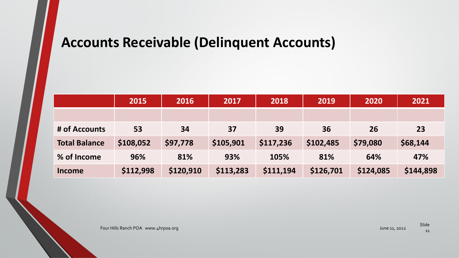## **Accounts Receivable (Delinquent Accounts)**

|                      | 2015      | 2016      | 2017      | 2018      | 2019      | 2020      | 2021      |
|----------------------|-----------|-----------|-----------|-----------|-----------|-----------|-----------|
|                      |           |           |           |           |           |           |           |
| # of Accounts        | 53        | 34        | 37        | 39        | 36        | <b>26</b> | 23        |
| <b>Total Balance</b> | \$108,052 | \$97,778  | \$105,901 | \$117,236 | \$102,485 | \$79,080  | \$68,144  |
| % of Income          | 96%       | 81%       | 93%       | 105%      | 81%       | 64%       | 47%       |
| Income               | \$112,998 | \$120,910 | \$113,283 | \$111,194 | \$126,701 | \$124,085 | \$144,898 |

Four Hills Ranch POA www.4hrpoa.org and the contract of the contract of the contract of the contract of the contract of the contract of the contract of the contract of the contract of the contract of the contract of the co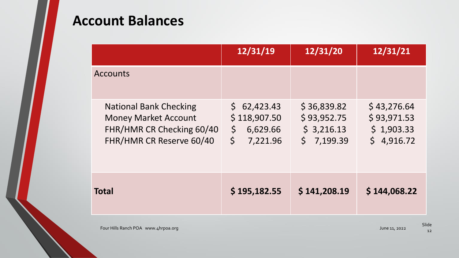## **Account Balances**

|                                                                                                                       | 12/31/19                                                                  | 12/31/20                                                 | 12/31/21                                               |
|-----------------------------------------------------------------------------------------------------------------------|---------------------------------------------------------------------------|----------------------------------------------------------|--------------------------------------------------------|
| <b>Accounts</b>                                                                                                       |                                                                           |                                                          |                                                        |
| <b>National Bank Checking</b><br><b>Money Market Account</b><br>FHR/HMR CR Checking 60/40<br>FHR/HMR CR Reserve 60/40 | \$62,423.43<br>\$118,907.50<br>$\zeta$<br>6,629.66<br>$\zeta$<br>7,221.96 | \$36,839.82<br>\$93,952.75<br>\$3,216.13<br>$5$ 7,199.39 | \$43,276.64<br>\$93,971.53<br>\$1,903.33<br>\$4,916.72 |
| <b>Total</b>                                                                                                          | \$195,182.55                                                              | \$141,208.19                                             | \$144,068.22                                           |

Four Hills Ranch POA www.4hrpoa.org and the control of the control of the control of the control of the control of the control of the control of the control of the control of the control of the control of the control of th

Slide 12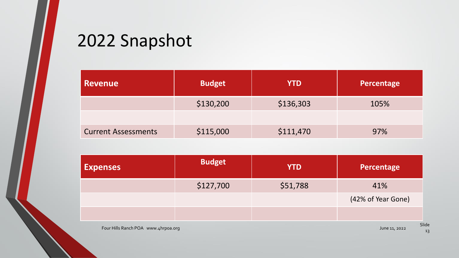## 2022 Snapshot

| <b>Revenue</b>             | <b>Budget</b> | <b>YTD</b> | Percentage |  |
|----------------------------|---------------|------------|------------|--|
|                            | \$130,200     | \$136,303  | 105%       |  |
|                            |               |            |            |  |
| <b>Current Assessments</b> | \$115,000     | \$111,470  | 97%        |  |

| <b>Expenses</b>                     | <b>Budget</b> | <b>YTD</b> | Percentage          |
|-------------------------------------|---------------|------------|---------------------|
|                                     | \$127,700     | \$51,788   | 41%                 |
|                                     |               |            | (42% of Year Gone)  |
|                                     |               |            |                     |
| Four Hills Ranch POA www.4hrpoa.org |               |            | SI<br>June 11, 2022 |

Slide 13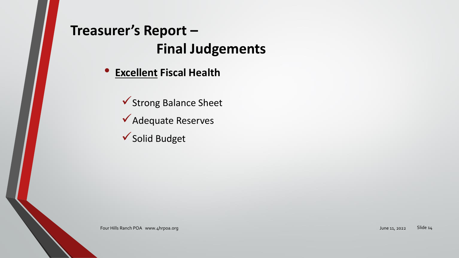## **Treasurer's Report – Final Judgements**

• **Excellent Fiscal Health**

✓Strong Balance Sheet ✓Adequate Reserves

✓Solid Budget

Four Hills Ranch POA www.4hrpoa.org Slide 14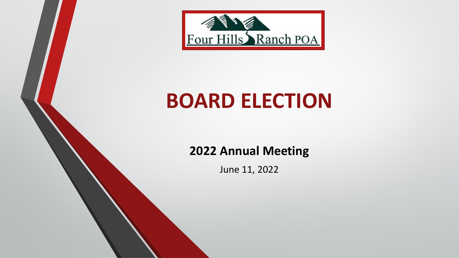

# **BOARD ELECTION**

## **2022 Annual Meeting**

June 11, 2022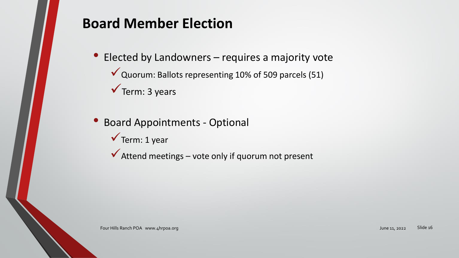## **Board Member Election**

- Elected by Landowners requires a majority vote
	- ✓Quorum: Ballots representing 10% of 509 parcels (51)
	- $\checkmark$  Term: 3 years
- Board Appointments Optional
	- $\checkmark$  Term: 1 year
	- $\checkmark$  Attend meetings vote only if quorum not present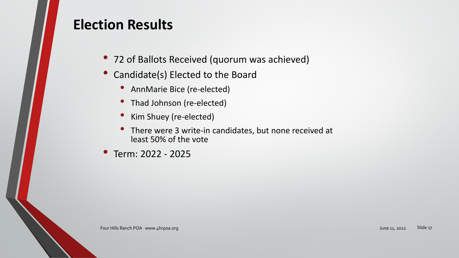## **Election Results**

- 72 of Ballots Received (quorum was achieved)
- Candidate(s) Elected to the Board
	- AnnMarie Bice (re-elected)
	- Thad Johnson (re-elected)
	- Kim Shuey (re-elected)
	- There were <sup>3</sup> write-in candidates, but none received at least 50% of the vote
- Term: 2022 <sup>2025</sup>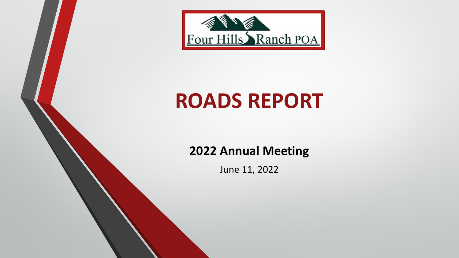

# **ROADS REPORT**

## **2022 Annual Meeting**

June 11, 2022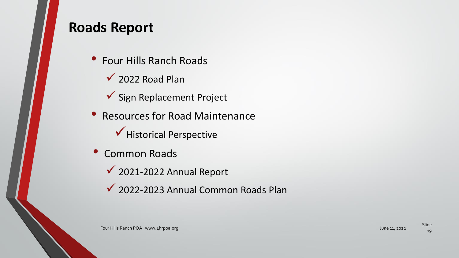## **Roads Report**

- Four Hills Ranch Roads
	- $\checkmark$  2022 Road Plan
	- ✓ Sign Replacement Project
- Resources for Road Maintenance ✓Historical Perspective
- Common Roads
	- ✓ 2021-2022 Annual Report
	- ✓ 2022-2023 Annual Common Roads Plan

19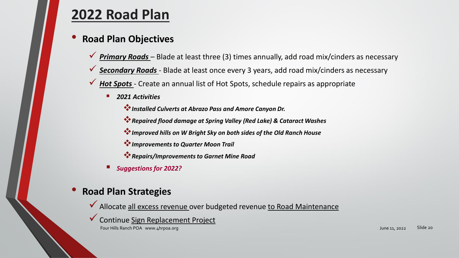## **[2022 Road Plan](about:blank)**

### • **Road Plan Objectives**

- **<u>▼ Primary Roads</u>** Blade at least three (3) times annually, add road mix/cinders as necessary
- **✓ Secondary Roads** Blade at least once every 3 years, add road mix/cinders as necessary
- ✓ *Hot Spots -* Create an annual list of Hot Spots, schedule repairs as appropriate
	- **2021 Activities** 
		- ❖*Installed Culverts at Abrazo Pass and Amore Canyon Dr.*
		- ❖*Repaired flood damage at Spring Valley (Red Lake) & Cataract Washes*
		- ❖*Improved hills on W Bright Sky on both sides of the Old Ranch House*
		- ❖*Improvements to Quarter Moon Trail*
		- ❖*Repairs/Improvements to Garnet Mine Road*
	- *Suggestions for 2022?*

### • **Road Plan Strategies**

- ◆ Allocate all excess revenue over budgeted revenue to Road Maintenance
- ✓Continue Sign Replacement Project

Four Hills Ranch POA www.4hrpoa.org June 11, 2022 Slide 20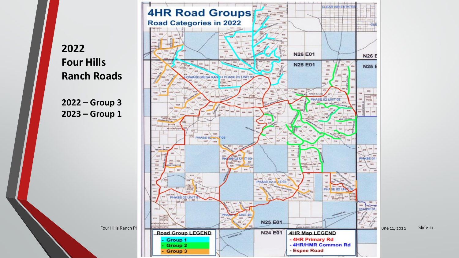**2022 Four Hills Ranch Roads**

**2022 – Group 3 2023 – Group 1**

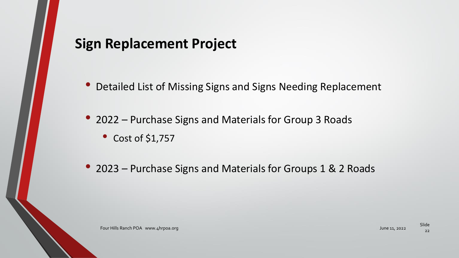## **Sign Replacement Project**

• Detailed List of Missing Signs and Signs Needing Replacement

• 2022 – Purchase Signs and Materials for Group 3 Roads

• Cost of \$1,757

• 2023 – Purchase Signs and Materials for Groups 1 & 2 Roads

22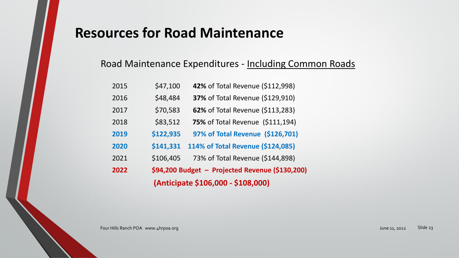## **Resources for Road Maintenance**

### Road Maintenance Expenditures - Including Common Roads

|      |           | (Anticipate \$106,000 - \$108,000)              |
|------|-----------|-------------------------------------------------|
| 2022 |           | \$94,200 Budget - Projected Revenue (\$130,200) |
| 2021 | \$106,405 | 73% of Total Revenue (\$144,898)                |
| 2020 | \$141,331 | 114% of Total Revenue (\$124,085)               |
| 2019 | \$122,935 | 97% of Total Revenue (\$126,701)                |
| 2018 | \$83,512  | <b>75% of Total Revenue (\$111,194)</b>         |
| 2017 | \$70,583  | <b>62%</b> of Total Revenue (\$113,283)         |
| 2016 | \$48,484  | 37% of Total Revenue (\$129,910)                |
| 2015 | \$47,100  | 42% of Total Revenue (\$112,998)                |

Four Hills Ranch POA www.4hrpoa.org Slide 23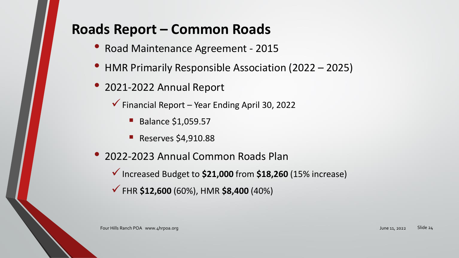## **Roads Report – Common Roads**

- Road Maintenance Agreement <sup>2015</sup>
- HMR Primarily Responsible Association (2022 2025)
- 2021-2022 Annual Report
	- $\checkmark$  Financial Report Year Ending April 30, 2022
		- Balance \$1,059.57
		- **Reserves \$4,910.88**
- 2022-2023 Annual Common Roads Plan
	- ✓Increased Budget to **\$21,000** from **\$18,260** (15% increase)
	- ✓FHR **\$12,600** (60%), HMR **\$8,400** (40%)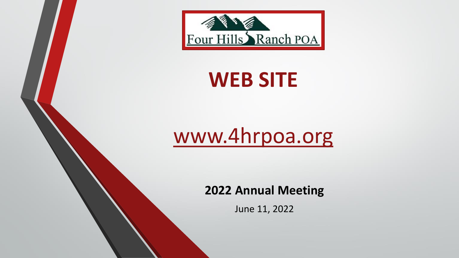

## **WEB SITE**

# [www.4hrpoa.org](about:blank)

**2022 Annual Meeting**

June 11, 2022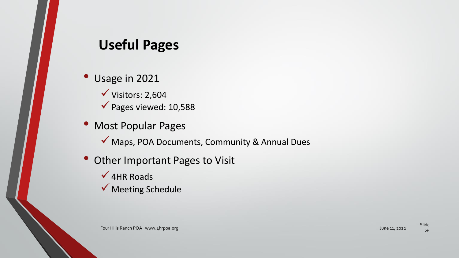## **Useful Pages**

- Usage in 2021  $\checkmark$  Visitors: 2,604 ✓Pages viewed: 10,588
- Most Popular Pages
	- ✓ Maps, POA Documents, Community & Annual Dues
- Other Important Pages to Visit
	- $\checkmark$  4HR Roads
	- ✓ Meeting Schedule

Four Hills Ranch POA www.4hrpoa.org June 11, 2022

Slide 26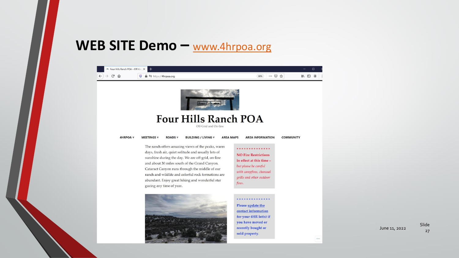## **WEB SITE Demo –** [www.4hrpoa.org](about:blank)



Slide 27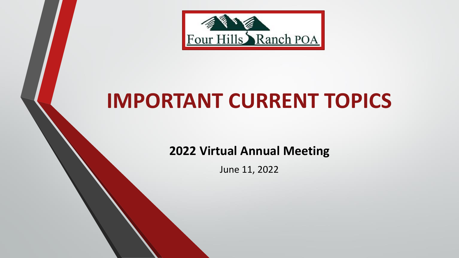

# **IMPORTANT CURRENT TOPICS**

**2022 Virtual Annual Meeting**

June 11, 2022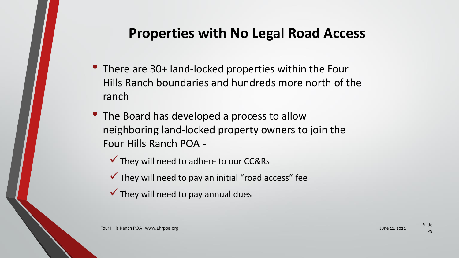## **Properties with No Legal Road Access**

- There are 30+ land-locked properties within the Four Hills Ranch boundaries and hundreds more north of the ranch
- The Board has developed a process to allow neighboring land-locked property owners to join the Four Hills Ranch POA -
	- ✓They will need to adhere to our CC&Rs
	- $\checkmark$  They will need to pay an initial "road access" fee
	- $\checkmark$  They will need to pay annual dues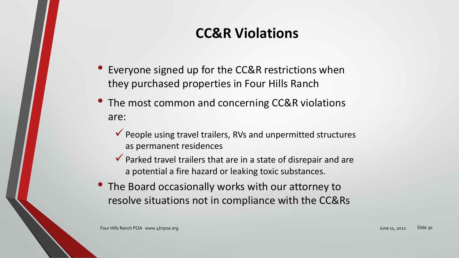## **CC&R Violations**

- Everyone signed up for the CC&R restrictions when they purchased properties in Four Hills Ranch
- The most common and concerning CC&R violations are:
	- $\checkmark$  People using travel trailers, RVs and unpermitted structures as permanent residences
	- $\checkmark$  Parked travel trailers that are in a state of disrepair and are a potential a fire hazard or leaking toxic substances.
- The Board occasionally works with our attorney to resolve situations not in compliance with the CC&Rs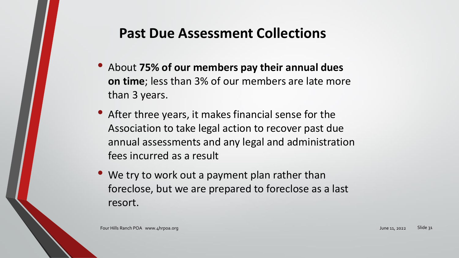## **Past Due Assessment Collections**

- About **75% of our members pay their annual dues on time**; less than 3% of our members are late more than 3 years.
- After three years, it makes financial sense for the Association to take legal action to recover past due annual assessments and any legal and administration fees incurred as a result
- We try to work out a payment plan rather than foreclose, but we are prepared to foreclose as a last resort.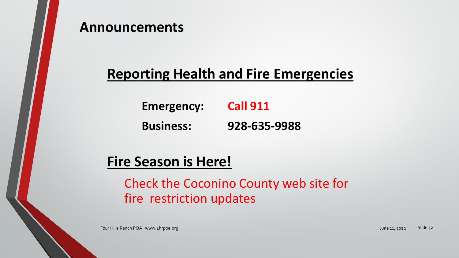

## **Reporting Health and Fire Emergencies**

**Emergency: Call 911 Business: 928-635-9988**

**Fire Season is Here!**

Check the Coconino County web site for fire restriction updates

Four Hills Ranch POA www.4hrpoa.org Slide 32 Slide 32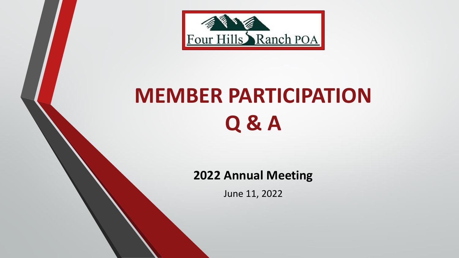

# **MEMBER PARTICIPATION Q & A**

### **2022 Annual Meeting**

June 11, 2022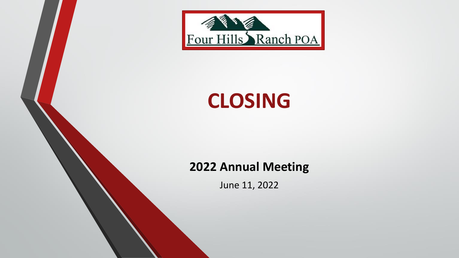

## **CLOSING**

## **2022 Annual Meeting**

June 11, 2022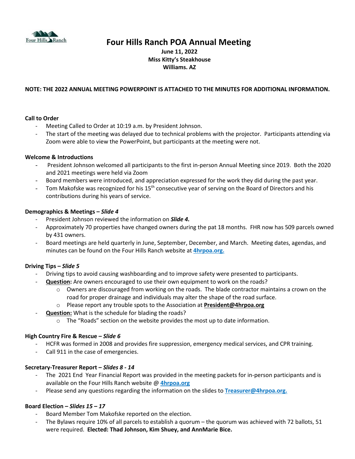

### **Four Hills Ranch POA Annual Meeting**

**June 11, 2022 Miss Kitty's Steakhouse Williams. AZ**

### **NOTE: THE 2022 ANNUAL MEETING POWERPOINT IS ATTACHED TO THE MINUTES FOR ADDITIONAL INFORMATION.**

### **Call to Order**

- Meeting Called to Order at 10:19 a.m. by President Johnson.
- The start of the meeting was delayed due to technical problems with the projector. Participants attending via Zoom were able to view the PowerPoint, but participants at the meeting were not.

### **Welcome & Introductions**

- President Johnson welcomed all participants to the first in-person Annual Meeting since 2019. Both the 2020 and 2021 meetings were held via Zoom
- Board members were introduced, and appreciation expressed for the work they did during the past year.
- Tom Makofske was recognized for his 15<sup>th</sup> consecutive year of serving on the Board of Directors and his contributions during his years of service.

### **Demographics & Meetings –** *Slide 4*

- President Johnson reviewed the information on *Slide 4.*
- Approximately 70 properties have changed owners during the pat 18 months. FHR now has 509 parcels owned by 431 owners.
- Board meetings are held quarterly in June, September, December, and March. Meeting dates, agendas, and minutes can be found on the Four Hills Ranch website at **4hrpoa.org.**

### **Driving Tips –** *Slide 5*

- Driving tips to avoid causing washboarding and to improve safety were presented to participants.
- **Question:** Are owners encouraged to use their own equipment to work on the roads?
	- o Owners are discouraged from working on the roads. The blade contractor maintains a crown on the road for proper drainage and individuals may alter the shape of the road surface.
	- o Please report any trouble spots to the Association at **[President@4hrpoa.org](mailto:President@4hrpoa.org)**
	- **Question:** What is the schedule for blading the roads?
		- o The "Roads" section on the website provides the most up to date information.

### **High Country Fire & Rescue** *– Slide 6*

- HCFR was formed in 2008 and provides fire suppression, emergency medical services, and CPR training.
- Call 911 in the case of emergencies.

### **Secretary-Treasurer Report –** *Slides 8 - 14*

- The 2021 End Year Financial Report was provided in the meeting packets for in-person participants and is available on the Four Hills Ranch website @ **4hrpoa.org**
- Please send any questions regarding the information on the slides to **[Treasurer@4hrpoa.org.](mailto:Treasurer@4hrpoa.org)**

### **Board Election –** *Slides 15 – 17*

- Board Member Tom Makofske reported on the election.
- The Bylaws require 10% of all parcels to establish a quorum the quorum was achieved with 72 ballots, 51 were required. **Elected: Thad Johnson, Kim Shuey, and AnnMarie Bice.**